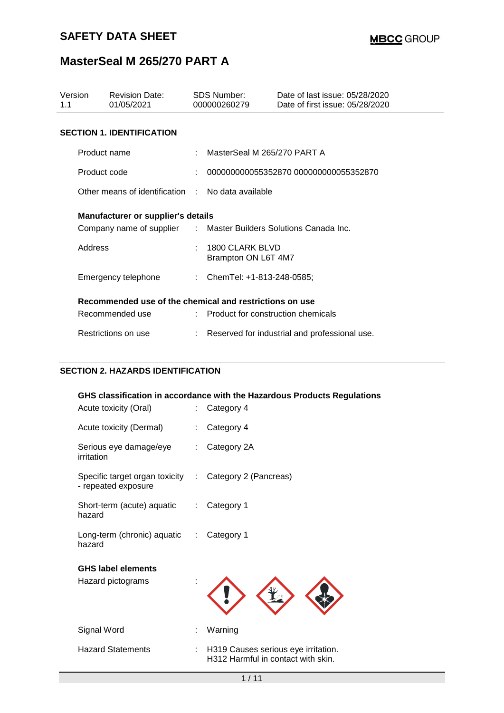| Version<br>1.1                                                   | <b>Revision Date:</b><br>01/05/2021               | <b>SDS Number:</b><br>000000260279 |                                               | Date of last issue: 05/28/2020<br>Date of first issue: 05/28/2020 |  |  |
|------------------------------------------------------------------|---------------------------------------------------|------------------------------------|-----------------------------------------------|-------------------------------------------------------------------|--|--|
|                                                                  | <b>SECTION 1. IDENTIFICATION</b>                  |                                    |                                               |                                                                   |  |  |
| Product name                                                     |                                                   |                                    | MasterSeal M 265/270 PART A                   |                                                                   |  |  |
|                                                                  | Product code                                      |                                    |                                               | 000000000055352870 000000000055352870                             |  |  |
|                                                                  | Other means of identification : No data available |                                    |                                               |                                                                   |  |  |
| Manufacturer or supplier's details                               |                                                   |                                    |                                               |                                                                   |  |  |
| Company name of supplier : Master Builders Solutions Canada Inc. |                                                   |                                    |                                               |                                                                   |  |  |
|                                                                  | Address                                           |                                    | 1800 CLARK BLVD<br>Brampton ON L6T 4M7        |                                                                   |  |  |
|                                                                  | Emergency telephone                               |                                    | : ChemTel: $+1-813-248-0585$ ;                |                                                                   |  |  |
| Recommended use of the chemical and restrictions on use          |                                                   |                                    |                                               |                                                                   |  |  |
|                                                                  | Recommended use                                   |                                    | : Product for construction chemicals          |                                                                   |  |  |
|                                                                  | Restrictions on use                               |                                    | Reserved for industrial and professional use. |                                                                   |  |  |

### **SECTION 2. HAZARDS IDENTIFICATION**

|                                                                               |    | GHS classification in accordance with the Hazardous Products Regulations  |
|-------------------------------------------------------------------------------|----|---------------------------------------------------------------------------|
| Acute toxicity (Oral)                                                         | t. | Category 4                                                                |
| Acute toxicity (Dermal)                                                       |    | Category 4                                                                |
| Serious eye damage/eye<br>irritation                                          | ÷  | Category 2A                                                               |
| Specific target organ toxicity : Category 2 (Pancreas)<br>- repeated exposure |    |                                                                           |
| Short-term (acute) aquatic : Category 1<br>hazard                             |    |                                                                           |
| Long-term (chronic) aquatic : Category 1<br>hazard                            |    |                                                                           |
| <b>GHS label elements</b>                                                     |    |                                                                           |
| Hazard pictograms                                                             |    |                                                                           |
| Signal Word                                                                   | t. | Warning                                                                   |
| <b>Hazard Statements</b>                                                      |    | H319 Causes serious eye irritation.<br>H312 Harmful in contact with skin. |
|                                                                               |    |                                                                           |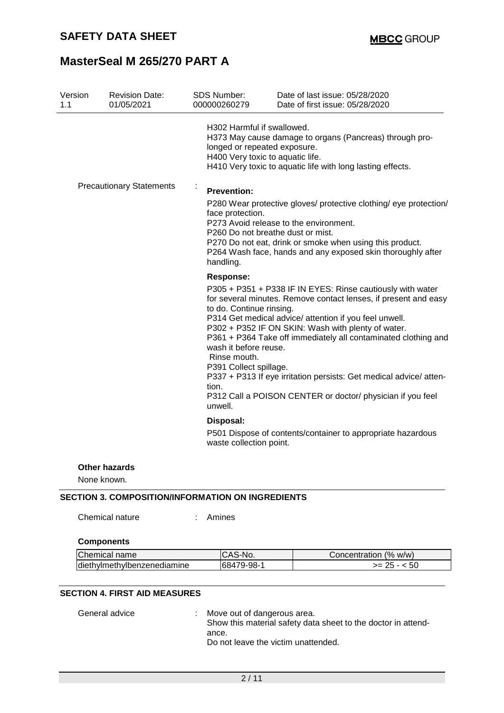| Version<br>1.1 | <b>Revision Date:</b><br>01/05/2021 | SDS Number:<br>000000260279                                                                                                         | Date of last issue: 05/28/2020<br>Date of first issue: 05/28/2020                                                                                                                                                                                                                                                                                                                                                                                   |
|----------------|-------------------------------------|-------------------------------------------------------------------------------------------------------------------------------------|-----------------------------------------------------------------------------------------------------------------------------------------------------------------------------------------------------------------------------------------------------------------------------------------------------------------------------------------------------------------------------------------------------------------------------------------------------|
|                |                                     | H302 Harmful if swallowed.<br>longed or repeated exposure.<br>H400 Very toxic to aquatic life.                                      | H373 May cause damage to organs (Pancreas) through pro-<br>H410 Very toxic to aquatic life with long lasting effects.                                                                                                                                                                                                                                                                                                                               |
|                | <b>Precautionary Statements</b>     | ÷<br><b>Prevention:</b><br>face protection.<br>P260 Do not breathe dust or mist.<br>handling.                                       | P280 Wear protective gloves/ protective clothing/ eye protection/<br>P273 Avoid release to the environment.<br>P270 Do not eat, drink or smoke when using this product.<br>P264 Wash face, hands and any exposed skin thoroughly after                                                                                                                                                                                                              |
|                |                                     | <b>Response:</b><br>to do. Continue rinsing.<br>wash it before reuse.<br>Rinse mouth.<br>P391 Collect spillage.<br>tion.<br>unwell. | P305 + P351 + P338 IF IN EYES: Rinse cautiously with water<br>for several minutes. Remove contact lenses, if present and easy<br>P314 Get medical advice/ attention if you feel unwell.<br>P302 + P352 IF ON SKIN: Wash with plenty of water.<br>P361 + P364 Take off immediately all contaminated clothing and<br>P337 + P313 If eye irritation persists: Get medical advice/ atten-<br>P312 Call a POISON CENTER or doctor/ physician if you feel |
|                |                                     | Disposal:<br>waste collection point.                                                                                                | P501 Dispose of contents/container to appropriate hazardous                                                                                                                                                                                                                                                                                                                                                                                         |
| None known.    | <b>Other hazards</b>                |                                                                                                                                     |                                                                                                                                                                                                                                                                                                                                                                                                                                                     |

### **SECTION 3. COMPOSITION/INFORMATION ON INGREDIENTS**

Chemical nature : Amines

| Chemical name               | ICAS-No.   | Concentration (% w/w) |
|-----------------------------|------------|-----------------------|
| diethylmethylbenzenediamine | 68479-98-1 | $>= 25 - 50$          |

### **SECTION 4. FIRST AID MEASURES**

General advice : Move out of dangerous area. Show this material safety data sheet to the doctor in attendance. Do not leave the victim unattended.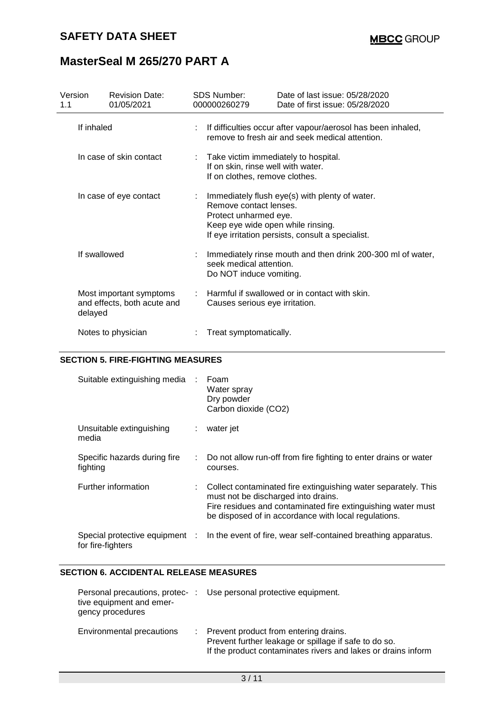| Version<br>1.1 |                                                                   | <b>Revision Date:</b><br>01/05/2021 | <b>SDS Number:</b><br>000000260279                                                                                | Date of last issue: 05/28/2020<br>Date of first issue: 05/28/2020                                                 |  |
|----------------|-------------------------------------------------------------------|-------------------------------------|-------------------------------------------------------------------------------------------------------------------|-------------------------------------------------------------------------------------------------------------------|--|
|                | If inhaled                                                        |                                     |                                                                                                                   | : If difficulties occur after vapour/aerosol has been inhaled,<br>remove to fresh air and seek medical attention. |  |
|                | In case of skin contact                                           |                                     | : Take victim immediately to hospital.<br>If on skin, rinse well with water.<br>If on clothes, remove clothes.    |                                                                                                                   |  |
|                |                                                                   | In case of eye contact              | Remove contact lenses.<br>Protect unharmed eye.<br>Keep eye wide open while rinsing.                              | Immediately flush eye(s) with plenty of water.<br>If eye irritation persists, consult a specialist.               |  |
|                | If swallowed                                                      |                                     | Immediately rinse mouth and then drink 200-300 ml of water,<br>seek medical attention.<br>Do NOT induce vomiting. |                                                                                                                   |  |
|                | Most important symptoms<br>and effects, both acute and<br>delayed |                                     | Causes serious eye irritation.                                                                                    | Harmful if swallowed or in contact with skin.                                                                     |  |
|                | Notes to physician                                                |                                     | Treat symptomatically.                                                                                            |                                                                                                                   |  |

### **SECTION 5. FIRE-FIGHTING MEASURES**

| Suitable extinguishing media                        |    | Foam<br>Water spray<br>Dry powder<br>Carbon dioxide (CO2)                                                                                                                                                                     |
|-----------------------------------------------------|----|-------------------------------------------------------------------------------------------------------------------------------------------------------------------------------------------------------------------------------|
| Unsuitable extinguishing<br>media                   | ÷. | water jet                                                                                                                                                                                                                     |
| Specific hazards during fire<br>fighting            |    | Do not allow run-off from fire fighting to enter drains or water<br>courses.                                                                                                                                                  |
| Further information                                 |    | Collect contaminated fire extinguishing water separately. This<br>must not be discharged into drains.<br>Fire residues and contaminated fire extinguishing water must<br>be disposed of in accordance with local regulations. |
| Special protective equipment :<br>for fire-fighters |    | In the event of fire, wear self-contained breathing apparatus.                                                                                                                                                                |

#### **SECTION 6. ACCIDENTAL RELEASE MEASURES**

| Personal precautions, protec-<br>tive equipment and emer-<br>gency procedures | Use personal protective equipment.                                                                                                                                |
|-------------------------------------------------------------------------------|-------------------------------------------------------------------------------------------------------------------------------------------------------------------|
| Environmental precautions                                                     | : Prevent product from entering drains.<br>Prevent further leakage or spillage if safe to do so.<br>If the product contaminates rivers and lakes or drains inform |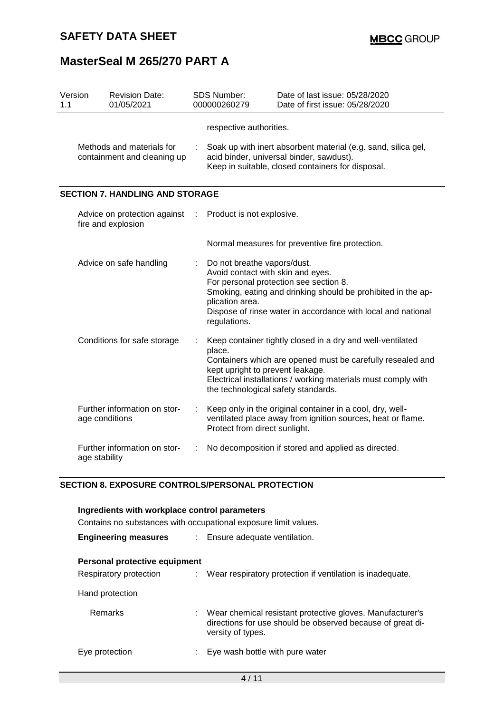| Version<br>1.1 |                                                          | <b>Revision Date:</b><br>01/05/2021              |   | SDS Number:<br>000000260279                                                                         | Date of last issue: 05/28/2020<br>Date of first issue: 05/28/2020                                                                                                                                                                |
|----------------|----------------------------------------------------------|--------------------------------------------------|---|-----------------------------------------------------------------------------------------------------|----------------------------------------------------------------------------------------------------------------------------------------------------------------------------------------------------------------------------------|
|                | Methods and materials for<br>containment and cleaning up |                                                  |   | respective authorities.                                                                             | Soak up with inert absorbent material (e.g. sand, silica gel,<br>acid binder, universal binder, sawdust).<br>Keep in suitable, closed containers for disposal.                                                                   |
|                |                                                          | <b>SECTION 7. HANDLING AND STORAGE</b>           |   |                                                                                                     |                                                                                                                                                                                                                                  |
|                | Advice on protection against<br>fire and explosion       |                                                  |   | Product is not explosive.                                                                           |                                                                                                                                                                                                                                  |
|                |                                                          |                                                  |   |                                                                                                     | Normal measures for preventive fire protection.                                                                                                                                                                                  |
|                |                                                          | Advice on safe handling                          | ÷ | Do not breathe vapors/dust.<br>Avoid contact with skin and eyes.<br>plication area.<br>regulations. | For personal protection see section 8.<br>Smoking, eating and drinking should be prohibited in the ap-<br>Dispose of rinse water in accordance with local and national                                                           |
|                | Conditions for safe storage                              |                                                  |   | place.<br>kept upright to prevent leakage.                                                          | Keep container tightly closed in a dry and well-ventilated<br>Containers which are opened must be carefully resealed and<br>Electrical installations / working materials must comply with<br>the technological safety standards. |
|                |                                                          | Further information on stor-<br>age conditions   |   | Protect from direct sunlight.                                                                       | Keep only in the original container in a cool, dry, well-<br>ventilated place away from ignition sources, heat or flame.                                                                                                         |
|                | Further information on stor-<br>age stability            |                                                  |   |                                                                                                     | No decomposition if stored and applied as directed.                                                                                                                                                                              |
|                |                                                          | SECTION 8. EXPOSURE CONTROLS/PERSONAL PROTECTION |   |                                                                                                     |                                                                                                                                                                                                                                  |

#### **SECTION 8. EXPOSURE CONTROLS/PERSONAL PROTECTION**

| Ingredients with workplace control parameters                   |                                                                                                                                              |  |  |  |
|-----------------------------------------------------------------|----------------------------------------------------------------------------------------------------------------------------------------------|--|--|--|
| Contains no substances with occupational exposure limit values. |                                                                                                                                              |  |  |  |
| <b>Engineering measures</b>                                     | : Ensure adequate ventilation.                                                                                                               |  |  |  |
| Personal protective equipment<br>Respiratory protection         | : Wear respiratory protection if ventilation is inadequate.                                                                                  |  |  |  |
| Hand protection                                                 |                                                                                                                                              |  |  |  |
| Remarks                                                         | Wear chemical resistant protective gloves. Manufacturer's<br>directions for use should be observed because of great di-<br>versity of types. |  |  |  |
| Eye protection                                                  | Eye wash bottle with pure water                                                                                                              |  |  |  |
| 4 / 11                                                          |                                                                                                                                              |  |  |  |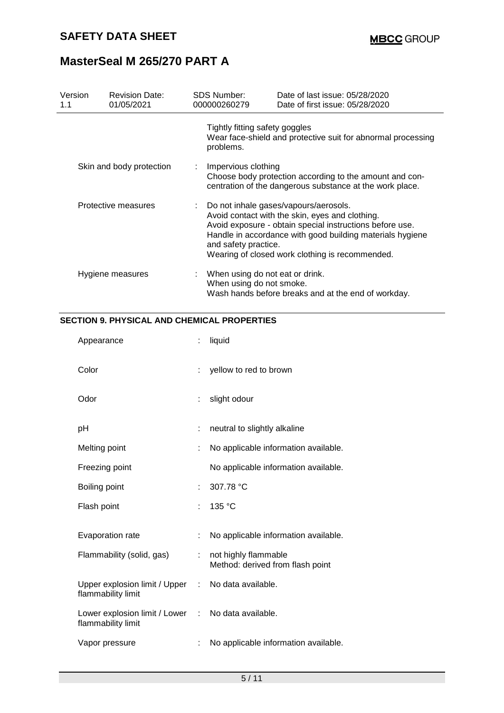| Version<br>1.1           |  | <b>Revision Date:</b><br>01/05/2021                                                                                                                                                                                                                                                          | <b>SDS Number:</b><br>000000260279                                                                                  | Date of last issue: 05/28/2020<br>Date of first issue: 05/28/2020 |
|--------------------------|--|----------------------------------------------------------------------------------------------------------------------------------------------------------------------------------------------------------------------------------------------------------------------------------------------|---------------------------------------------------------------------------------------------------------------------|-------------------------------------------------------------------|
|                          |  |                                                                                                                                                                                                                                                                                              | Tightly fitting safety goggles<br>problems.                                                                         | Wear face-shield and protective suit for abnormal processing      |
| Skin and body protection |  | Impervious clothing                                                                                                                                                                                                                                                                          | Choose body protection according to the amount and con-<br>centration of the dangerous substance at the work place. |                                                                   |
| Protective measures      |  | Do not inhale gases/vapours/aerosols.<br>Avoid contact with the skin, eyes and clothing.<br>Avoid exposure - obtain special instructions before use.<br>Handle in accordance with good building materials hygiene<br>and safety practice.<br>Wearing of closed work clothing is recommended. |                                                                                                                     |                                                                   |
|                          |  | Hygiene measures                                                                                                                                                                                                                                                                             | When using do not eat or drink.<br>When using do not smoke.                                                         | Wash hands before breaks and at the end of workday.               |

### **SECTION 9. PHYSICAL AND CHEMICAL PROPERTIES**

| Appearance                                                               |    | liquid                                                   |
|--------------------------------------------------------------------------|----|----------------------------------------------------------|
| Color                                                                    | ÷  | yellow to red to brown                                   |
| Odor                                                                     |    | slight odour                                             |
| рH                                                                       | t  | neutral to slightly alkaline                             |
| Melting point                                                            |    | No applicable information available.                     |
| Freezing point                                                           |    | No applicable information available.                     |
| Boiling point                                                            |    | 307.78 °C                                                |
| Flash point                                                              | t. | 135 °C                                                   |
| Evaporation rate                                                         | ÷  | No applicable information available.                     |
| Flammability (solid, gas)                                                | t. | not highly flammable<br>Method: derived from flash point |
| Upper explosion limit / Upper : No data available.<br>flammability limit |    |                                                          |
| Lower explosion limit / Lower : No data available.<br>flammability limit |    |                                                          |
| Vapor pressure                                                           |    | No applicable information available.                     |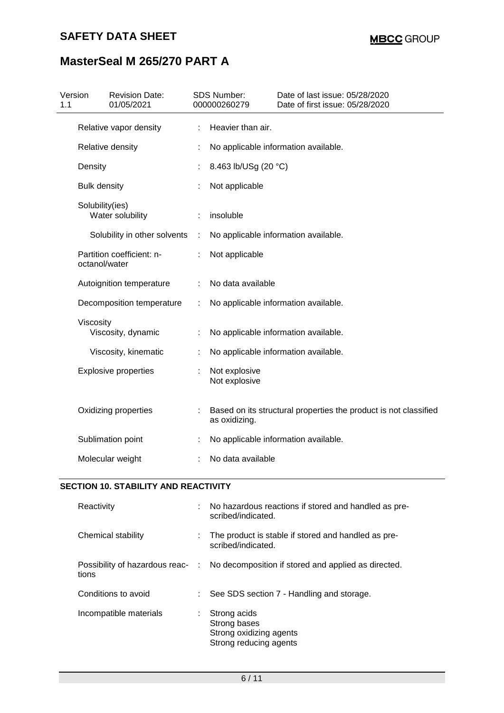## **SAFETY DATA SHEET**

## **MasterSeal M 265/270 PART A**

| Version<br>1.1 |                                                                                                                                        | <b>Revision Date:</b><br>01/05/2021 |   | SDS Number:<br>000000260279          | Date of last issue: 05/28/2020<br>Date of first issue: 05/28/2020 |  |
|----------------|----------------------------------------------------------------------------------------------------------------------------------------|-------------------------------------|---|--------------------------------------|-------------------------------------------------------------------|--|
|                | Relative vapor density                                                                                                                 |                                     |   | Heavier than air.                    |                                                                   |  |
|                | Relative density                                                                                                                       |                                     |   | No applicable information available. |                                                                   |  |
|                | Density                                                                                                                                |                                     |   | 8.463 lb/USg (20 °C)                 |                                                                   |  |
|                | <b>Bulk density</b>                                                                                                                    |                                     |   | Not applicable                       |                                                                   |  |
|                | Solubility(ies)<br>Water solubility                                                                                                    |                                     |   | insoluble                            |                                                                   |  |
|                |                                                                                                                                        | Solubility in other solvents        | ÷ |                                      | No applicable information available.                              |  |
|                | Partition coefficient: n-<br>octanol/water<br>Autoignition temperature<br>Decomposition temperature<br>Viscosity<br>Viscosity, dynamic |                                     |   | Not applicable                       |                                                                   |  |
|                |                                                                                                                                        |                                     | ÷ | No data available                    |                                                                   |  |
|                |                                                                                                                                        |                                     | ÷ |                                      | No applicable information available.                              |  |
|                |                                                                                                                                        |                                     |   |                                      | No applicable information available.                              |  |
|                |                                                                                                                                        | Viscosity, kinematic                |   |                                      | No applicable information available.                              |  |
|                |                                                                                                                                        | <b>Explosive properties</b>         |   | Not explosive<br>Not explosive       |                                                                   |  |
|                |                                                                                                                                        | Oxidizing properties                |   | as oxidizing.                        | Based on its structural properties the product is not classified  |  |
|                |                                                                                                                                        | Sublimation point                   |   |                                      | No applicable information available.                              |  |
|                |                                                                                                                                        | Molecular weight                    |   | No data available                    |                                                                   |  |

### **SECTION 10. STABILITY AND REACTIVITY**

| Reactivity             | : No hazardous reactions if stored and handled as pre-<br>scribed/indicated.          |
|------------------------|---------------------------------------------------------------------------------------|
| Chemical stability     | The product is stable if stored and handled as pre-<br>scribed/indicated.             |
| tions                  | Possibility of hazardous reac- : No decomposition if stored and applied as directed.  |
| Conditions to avoid    | $\therefore$ See SDS section 7 - Handling and storage.                                |
| Incompatible materials | $:$ Strong acids<br>Strong bases<br>Strong oxidizing agents<br>Strong reducing agents |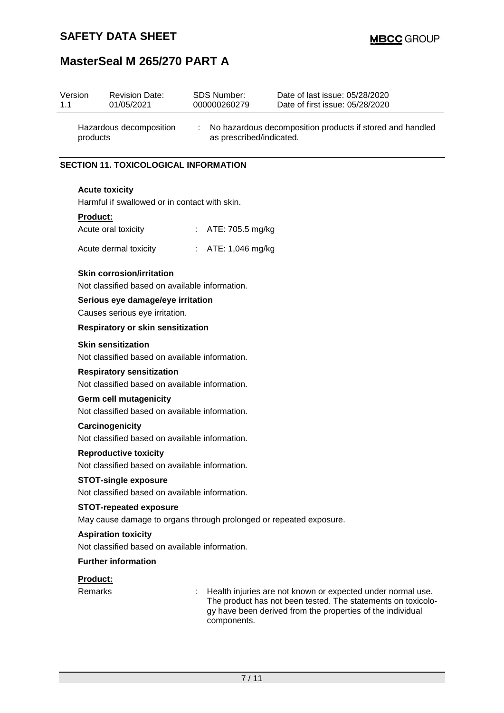| Version<br>1.1                                                                                           | <b>Revision Date:</b><br>01/05/2021                                                | <b>SDS Number:</b><br>000000260279 | Date of last issue: 05/28/2020<br>Date of first issue: 05/28/2020                                                                                                                         |  |  |                                                                              |                           |  |
|----------------------------------------------------------------------------------------------------------|------------------------------------------------------------------------------------|------------------------------------|-------------------------------------------------------------------------------------------------------------------------------------------------------------------------------------------|--|--|------------------------------------------------------------------------------|---------------------------|--|
|                                                                                                          | Hazardous decomposition<br>products                                                | ÷                                  | No hazardous decomposition products if stored and handled<br>as prescribed/indicated.                                                                                                     |  |  |                                                                              |                           |  |
|                                                                                                          | <b>SECTION 11. TOXICOLOGICAL INFORMATION</b>                                       |                                    |                                                                                                                                                                                           |  |  |                                                                              |                           |  |
|                                                                                                          | <b>Acute toxicity</b><br>Harmful if swallowed or in contact with skin.             |                                    |                                                                                                                                                                                           |  |  |                                                                              |                           |  |
|                                                                                                          |                                                                                    |                                    |                                                                                                                                                                                           |  |  |                                                                              |                           |  |
|                                                                                                          | Product:                                                                           |                                    |                                                                                                                                                                                           |  |  |                                                                              |                           |  |
|                                                                                                          | Acute oral toxicity                                                                | ÷.<br>ATE: 705.5 mg/kg             |                                                                                                                                                                                           |  |  |                                                                              |                           |  |
|                                                                                                          | Acute dermal toxicity                                                              | : $ATE: 1,046$ mg/kg               |                                                                                                                                                                                           |  |  |                                                                              |                           |  |
|                                                                                                          | <b>Skin corrosion/irritation</b><br>Not classified based on available information. |                                    |                                                                                                                                                                                           |  |  |                                                                              |                           |  |
| Serious eye damage/eye irritation<br>Causes serious eye irritation.<br>Respiratory or skin sensitization |                                                                                    |                                    |                                                                                                                                                                                           |  |  |                                                                              |                           |  |
|                                                                                                          |                                                                                    |                                    |                                                                                                                                                                                           |  |  |                                                                              | <b>Skin sensitization</b> |  |
| Not classified based on available information.                                                           |                                                                                    |                                    |                                                                                                                                                                                           |  |  |                                                                              |                           |  |
|                                                                                                          | <b>Respiratory sensitization</b>                                                   |                                    |                                                                                                                                                                                           |  |  |                                                                              |                           |  |
| Not classified based on available information.                                                           |                                                                                    |                                    |                                                                                                                                                                                           |  |  |                                                                              |                           |  |
| <b>Germ cell mutagenicity</b>                                                                            |                                                                                    |                                    |                                                                                                                                                                                           |  |  |                                                                              |                           |  |
|                                                                                                          | Not classified based on available information.                                     |                                    |                                                                                                                                                                                           |  |  |                                                                              |                           |  |
|                                                                                                          | Carcinogenicity                                                                    |                                    |                                                                                                                                                                                           |  |  |                                                                              |                           |  |
|                                                                                                          | Not classified based on available information.                                     |                                    |                                                                                                                                                                                           |  |  |                                                                              |                           |  |
|                                                                                                          | <b>Reproductive toxicity</b><br>Not classified based on available information.     |                                    |                                                                                                                                                                                           |  |  |                                                                              |                           |  |
|                                                                                                          | <b>STOT-single exposure</b>                                                        |                                    |                                                                                                                                                                                           |  |  |                                                                              |                           |  |
|                                                                                                          | Not classified based on available information.                                     |                                    |                                                                                                                                                                                           |  |  |                                                                              |                           |  |
| <b>STOT-repeated exposure</b><br>May cause damage to organs through prolonged or repeated exposure.      |                                                                                    |                                    |                                                                                                                                                                                           |  |  |                                                                              |                           |  |
|                                                                                                          |                                                                                    |                                    |                                                                                                                                                                                           |  |  | <b>Aspiration toxicity</b><br>Not classified based on available information. |                           |  |
|                                                                                                          |                                                                                    |                                    |                                                                                                                                                                                           |  |  |                                                                              |                           |  |
|                                                                                                          | <b>Further information</b>                                                         |                                    |                                                                                                                                                                                           |  |  |                                                                              |                           |  |
|                                                                                                          | Product:                                                                           |                                    |                                                                                                                                                                                           |  |  |                                                                              |                           |  |
|                                                                                                          | <b>Remarks</b>                                                                     | components.                        | Health injuries are not known or expected under normal use.<br>The product has not been tested. The statements on toxicolo-<br>gy have been derived from the properties of the individual |  |  |                                                                              |                           |  |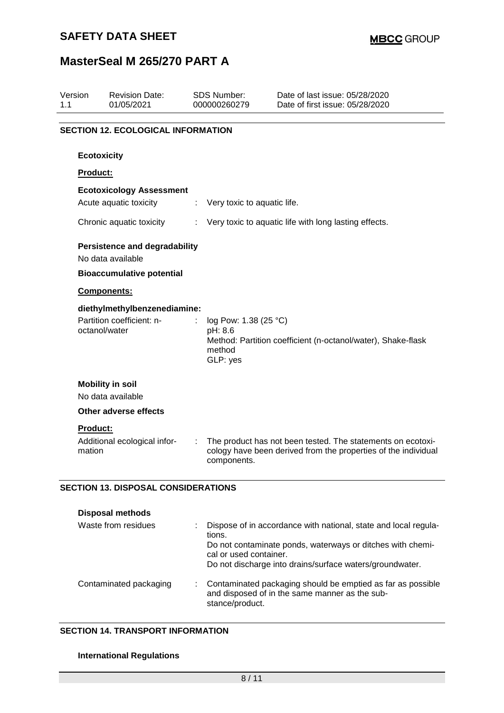### **SAFETY DATA SHEET**

## **MasterSeal M 265/270 PART A**

| Version<br>1.1 | <b>Revision Date:</b><br>01/05/2021                                        | <b>SDS Number:</b><br>000000260279 |                                                        | Date of last issue: 05/28/2020<br>Date of first issue: 05/28/2020                                                             |  |  |  |  |  |
|----------------|----------------------------------------------------------------------------|------------------------------------|--------------------------------------------------------|-------------------------------------------------------------------------------------------------------------------------------|--|--|--|--|--|
|                | <b>SECTION 12. ECOLOGICAL INFORMATION</b>                                  |                                    |                                                        |                                                                                                                               |  |  |  |  |  |
|                | <b>Ecotoxicity</b>                                                         |                                    |                                                        |                                                                                                                               |  |  |  |  |  |
|                | <b>Product:</b>                                                            |                                    |                                                        |                                                                                                                               |  |  |  |  |  |
|                | <b>Ecotoxicology Assessment</b>                                            |                                    |                                                        |                                                                                                                               |  |  |  |  |  |
|                | Acute aquatic toxicity                                                     |                                    | Very toxic to aquatic life.                            |                                                                                                                               |  |  |  |  |  |
|                | Chronic aquatic toxicity                                                   |                                    |                                                        | Very toxic to aquatic life with long lasting effects.                                                                         |  |  |  |  |  |
|                | <b>Persistence and degradability</b><br>No data available                  |                                    |                                                        |                                                                                                                               |  |  |  |  |  |
|                | <b>Bioaccumulative potential</b>                                           |                                    |                                                        |                                                                                                                               |  |  |  |  |  |
|                | Components:                                                                |                                    |                                                        |                                                                                                                               |  |  |  |  |  |
|                | diethylmethylbenzenediamine:<br>Partition coefficient: n-<br>octanol/water |                                    | log Pow: 1.38 (25 °C)<br>pH: 8.6<br>method<br>GLP: yes | Method: Partition coefficient (n-octanol/water), Shake-flask                                                                  |  |  |  |  |  |
|                | <b>Mobility in soil</b><br>No data available                               |                                    |                                                        |                                                                                                                               |  |  |  |  |  |
|                | <b>Other adverse effects</b>                                               |                                    |                                                        |                                                                                                                               |  |  |  |  |  |
|                | Product:<br>Additional ecological infor-<br>mation                         |                                    | components.                                            | The product has not been tested. The statements on ecotoxi-<br>cology have been derived from the properties of the individual |  |  |  |  |  |
|                | <b>SECTION 13. DISPOSAL CONSIDERATIONS</b>                                 |                                    |                                                        |                                                                                                                               |  |  |  |  |  |
|                | <b>Disposal methods</b>                                                    |                                    |                                                        |                                                                                                                               |  |  |  |  |  |
|                | Waste from residues                                                        | tions.                             | cal or used container.                                 | Dispose of in accordance with national, state and local regula-<br>Do not contaminate ponds, waterways or ditches with chemi- |  |  |  |  |  |

Do not discharge into drains/surface waters/groundwater.

| Contaminated packaging |  | : Contaminated packaging should be emptied as far as possible<br>and disposed of in the same manner as the sub-<br>stance/product. |
|------------------------|--|------------------------------------------------------------------------------------------------------------------------------------|
|------------------------|--|------------------------------------------------------------------------------------------------------------------------------------|

### **SECTION 14. TRANSPORT INFORMATION**

### **International Regulations**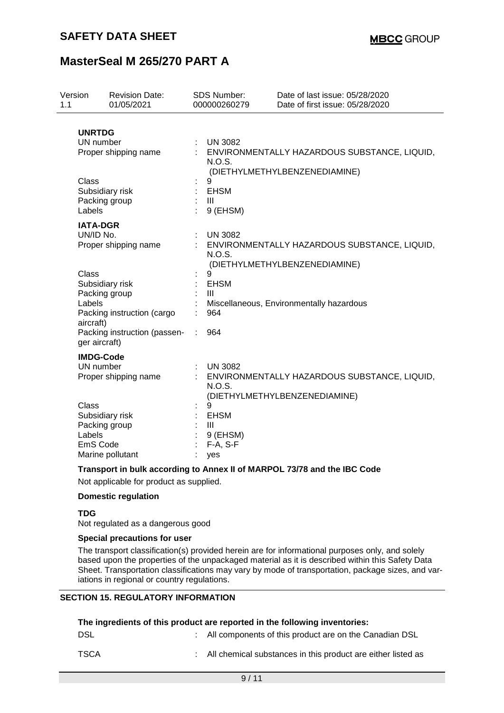| Version<br>1.1 |                                                                                                             | <b>Revision Date:</b><br>01/05/2021                                           |    | <b>SDS Number:</b><br>000000260279                                  | Date of last issue: 05/28/2020<br>Date of first issue: 05/28/2020             |
|----------------|-------------------------------------------------------------------------------------------------------------|-------------------------------------------------------------------------------|----|---------------------------------------------------------------------|-------------------------------------------------------------------------------|
|                | <b>UNRTDG</b><br>UN number                                                                                  | Proper shipping name                                                          |    | <b>UN 3082</b><br><b>N.O.S.</b>                                     | : ENVIRONMENTALLY HAZARDOUS SUBSTANCE, LIQUID,                                |
|                | Class<br>Subsidiary risk<br>Packing group<br>Labels<br><b>IATA-DGR</b><br>UN/ID No.<br>Proper shipping name |                                                                               |    | 9<br><b>EHSM</b><br>$\mathbf{III}$<br>9 (EHSM)                      | (DIETHYLMETHYLBENZENEDIAMINE)                                                 |
|                |                                                                                                             |                                                                               |    | <b>UN 3082</b><br>N.O.S.                                            | ENVIRONMENTALLY HAZARDOUS SUBSTANCE, LIQUID,<br>(DIETHYLMETHYLBENZENEDIAMINE) |
|                | Class<br>Packing group<br>Labels<br>aircraft)<br>ger aircraft)                                              | Subsidiary risk<br>Packing instruction (cargo<br>Packing instruction (passen- | ÷. | 9<br><b>EHSM</b><br>$\mathbf{III}$<br>964<br>964                    | Miscellaneous, Environmentally hazardous                                      |
|                | <b>IMDG-Code</b><br>UN number                                                                               | Proper shipping name                                                          |    | <b>UN 3082</b><br>N.O.S.                                            | ENVIRONMENTALLY HAZARDOUS SUBSTANCE, LIQUID,<br>(DIETHYLMETHYLBENZENEDIAMINE) |
|                | Class<br>Labels<br>EmS Code                                                                                 | Subsidiary risk<br>Packing group<br>Marine pollutant                          |    | 9<br><b>EHSM</b><br>$\mathbf{III}$<br>9 (EHSM)<br>$F-A, S-F$<br>yes |                                                                               |

#### **Transport in bulk according to Annex II of MARPOL 73/78 and the IBC Code**

Not applicable for product as supplied.

#### **Domestic regulation**

#### **TDG**

Not regulated as a dangerous good

#### **Special precautions for user**

The transport classification(s) provided herein are for informational purposes only, and solely based upon the properties of the unpackaged material as it is described within this Safety Data Sheet. Transportation classifications may vary by mode of transportation, package sizes, and variations in regional or country regulations.

### **SECTION 15. REGULATORY INFORMATION**

| The ingredients of this product are reported in the following inventories: |  |                                                                |  |  |  |
|----------------------------------------------------------------------------|--|----------------------------------------------------------------|--|--|--|
| DSL                                                                        |  | : All components of this product are on the Canadian DSL       |  |  |  |
| TSCA                                                                       |  | : All chemical substances in this product are either listed as |  |  |  |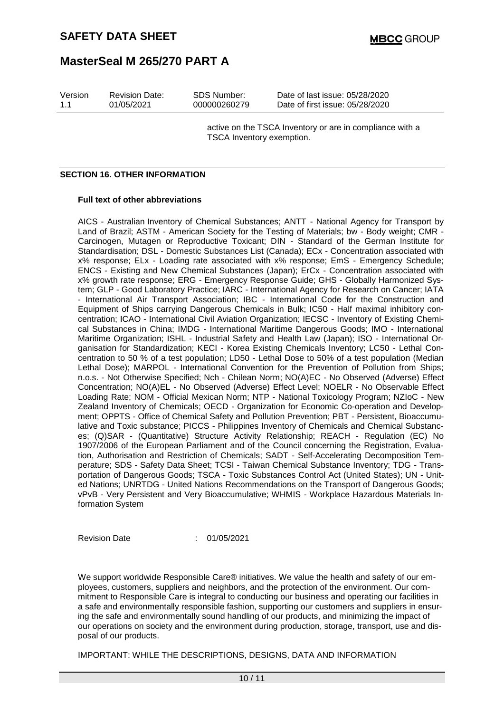| Version | <b>Revision Date:</b> | SDS Number:  | Date of last issue: 05/28/2020  |
|---------|-----------------------|--------------|---------------------------------|
| 11      | 01/05/2021            | 000000260279 | Date of first issue: 05/28/2020 |

active on the TSCA Inventory or are in compliance with a TSCA Inventory exemption.

#### **SECTION 16. OTHER INFORMATION**

#### **Full text of other abbreviations**

AICS - Australian Inventory of Chemical Substances; ANTT - National Agency for Transport by Land of Brazil; ASTM - American Society for the Testing of Materials; bw - Body weight; CMR - Carcinogen, Mutagen or Reproductive Toxicant; DIN - Standard of the German Institute for Standardisation; DSL - Domestic Substances List (Canada); ECx - Concentration associated with x% response; ELx - Loading rate associated with x% response; EmS - Emergency Schedule; ENCS - Existing and New Chemical Substances (Japan); ErCx - Concentration associated with x% growth rate response; ERG - Emergency Response Guide; GHS - Globally Harmonized System; GLP - Good Laboratory Practice; IARC - International Agency for Research on Cancer; IATA - International Air Transport Association; IBC - International Code for the Construction and Equipment of Ships carrying Dangerous Chemicals in Bulk; IC50 - Half maximal inhibitory concentration; ICAO - International Civil Aviation Organization; IECSC - Inventory of Existing Chemical Substances in China; IMDG - International Maritime Dangerous Goods; IMO - International Maritime Organization; ISHL - Industrial Safety and Health Law (Japan); ISO - International Organisation for Standardization; KECI - Korea Existing Chemicals Inventory; LC50 - Lethal Concentration to 50 % of a test population; LD50 - Lethal Dose to 50% of a test population (Median Lethal Dose); MARPOL - International Convention for the Prevention of Pollution from Ships; n.o.s. - Not Otherwise Specified; Nch - Chilean Norm; NO(A)EC - No Observed (Adverse) Effect Concentration; NO(A)EL - No Observed (Adverse) Effect Level; NOELR - No Observable Effect Loading Rate; NOM - Official Mexican Norm; NTP - National Toxicology Program; NZIoC - New Zealand Inventory of Chemicals; OECD - Organization for Economic Co-operation and Development; OPPTS - Office of Chemical Safety and Pollution Prevention; PBT - Persistent, Bioaccumulative and Toxic substance; PICCS - Philippines Inventory of Chemicals and Chemical Substances; (Q)SAR - (Quantitative) Structure Activity Relationship; REACH - Regulation (EC) No 1907/2006 of the European Parliament and of the Council concerning the Registration, Evaluation, Authorisation and Restriction of Chemicals; SADT - Self-Accelerating Decomposition Temperature; SDS - Safety Data Sheet; TCSI - Taiwan Chemical Substance Inventory; TDG - Transportation of Dangerous Goods; TSCA - Toxic Substances Control Act (United States); UN - United Nations; UNRTDG - United Nations Recommendations on the Transport of Dangerous Goods; vPvB - Very Persistent and Very Bioaccumulative; WHMIS - Workplace Hazardous Materials Information System

Revision Date : 01/05/2021

We support worldwide Responsible Care® initiatives. We value the health and safety of our employees, customers, suppliers and neighbors, and the protection of the environment. Our commitment to Responsible Care is integral to conducting our business and operating our facilities in a safe and environmentally responsible fashion, supporting our customers and suppliers in ensuring the safe and environmentally sound handling of our products, and minimizing the impact of our operations on society and the environment during production, storage, transport, use and disposal of our products.

IMPORTANT: WHILE THE DESCRIPTIONS, DESIGNS, DATA AND INFORMATION